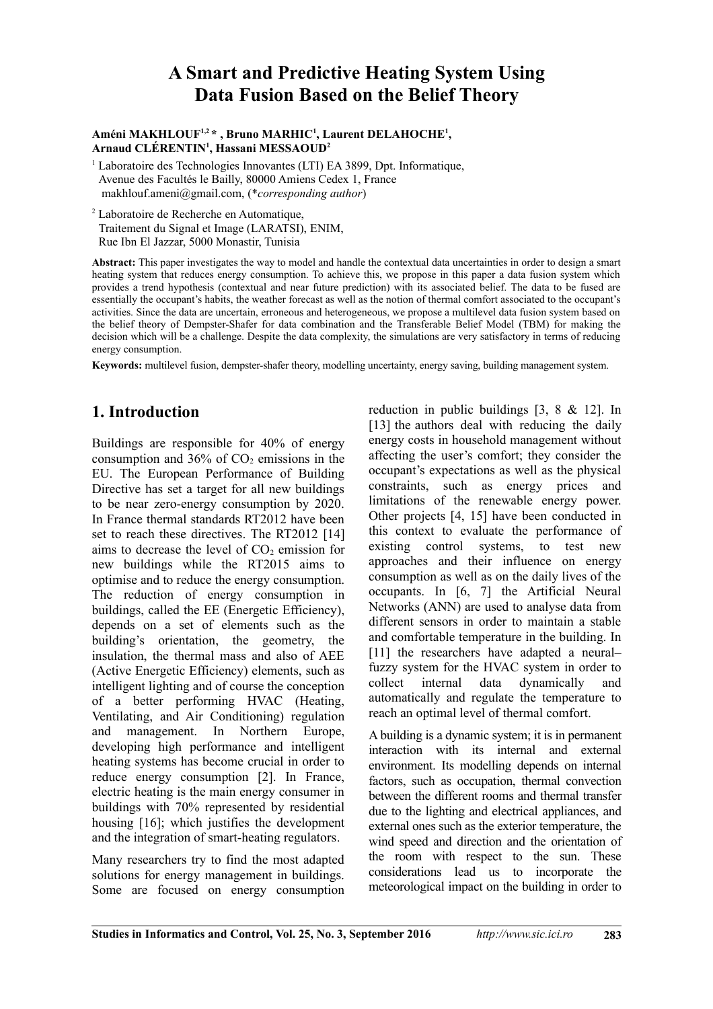# **A Smart and Predictive Heating System Using Data Fusion Based on the Belief Theory**

#### **Améni MAKHLOUF1,2 \* , Bruno MARHIC<sup>1</sup> , Laurent DELAHOCHE<sup>1</sup> , Arnaud CLÉRENTIN<sup>1</sup> , Hassani MESSAOUD<sup>2</sup>**

<sup>1</sup> Laboratoire des Technologies Innovantes (LTI) EA 3899, Dpt. Informatique, Avenue des Facultés le Bailly, 80000 Amiens Cedex 1, France makhlouf.ameni@gmail.com, (\**corresponding author*)

2 Laboratoire de Recherche en Automatique, Traitement du Signal et Image (LARATSI), ENIM, Rue Ibn El Jazzar, 5000 Monastir, Tunisia

**Abstract:** This paper investigates the way to model and handle the contextual data uncertainties in order to design a smart heating system that reduces energy consumption. To achieve this, we propose in this paper a data fusion system which provides a trend hypothesis (contextual and near future prediction) with its associated belief. The data to be fused are essentially the occupant's habits, the weather forecast as well as the notion of thermal comfort associated to the occupant's activities. Since the data are uncertain, erroneous and heterogeneous, we propose a multilevel data fusion system based on the belief theory of Dempster-Shafer for data combination and the Transferable Belief Model (TBM) for making the decision which will be a challenge. Despite the data complexity, the simulations are very satisfactory in terms of reducing energy consumption.

**Keywords:** multilevel fusion, dempster-shafer theory, modelling uncertainty, energy saving, building management system.

# **1. Introduction**

Buildings are responsible for 40% of energy consumption and  $36\%$  of  $CO<sub>2</sub>$  emissions in the EU. The European Performance of Building Directive has set a target for all new buildings to be near zero-energy consumption by 2020. In France thermal standards RT2012 have been set to reach these directives. The RT2012 [14] aims to decrease the level of  $CO<sub>2</sub>$  emission for new buildings while the RT2015 aims to optimise and to reduce the energy consumption. The reduction of energy consumption in buildings, called the EE (Energetic Efficiency), depends on a set of elements such as the building's orientation, the geometry, the insulation, the thermal mass and also of AEE (Active Energetic Efficiency) elements, such as intelligent lighting and of course the conception of a better performing HVAC (Heating, Ventilating, and Air Conditioning) regulation and management. In Northern Europe, developing high performance and intelligent heating systems has become crucial in order to reduce energy consumption [2]. In France, electric heating is the main energy consumer in buildings with 70% represented by residential housing [16]; which justifies the development and the integration of smart-heating regulators.

Many researchers try to find the most adapted solutions for energy management in buildings. Some are focused on energy consumption reduction in public buildings [3, 8 & 12]. In [13] the authors deal with reducing the daily energy costs in household management without affecting the user's comfort; they consider the occupant's expectations as well as the physical constraints, such as energy prices and limitations of the renewable energy power. Other projects [4, 15] have been conducted in this context to evaluate the performance of existing control systems, to test new approaches and their influence on energy consumption as well as on the daily lives of the occupants. In [6, 7] the Artificial Neural Networks (ANN) are used to analyse data from different sensors in order to maintain a stable and comfortable temperature in the building. In [11] the researchers have adapted a neural– fuzzy system for the HVAC system in order to collect internal data dynamically and automatically and regulate the temperature to reach an optimal level of thermal comfort.

A building is a dynamic system; it is in permanent interaction with its internal and external environment. Its modelling depends on internal factors, such as occupation, thermal convection between the different rooms and thermal transfer due to the lighting and electrical appliances, and external ones such as the exterior temperature, the wind speed and direction and the orientation of the room with respect to the sun. These considerations lead us to incorporate the meteorological impact on the building in order to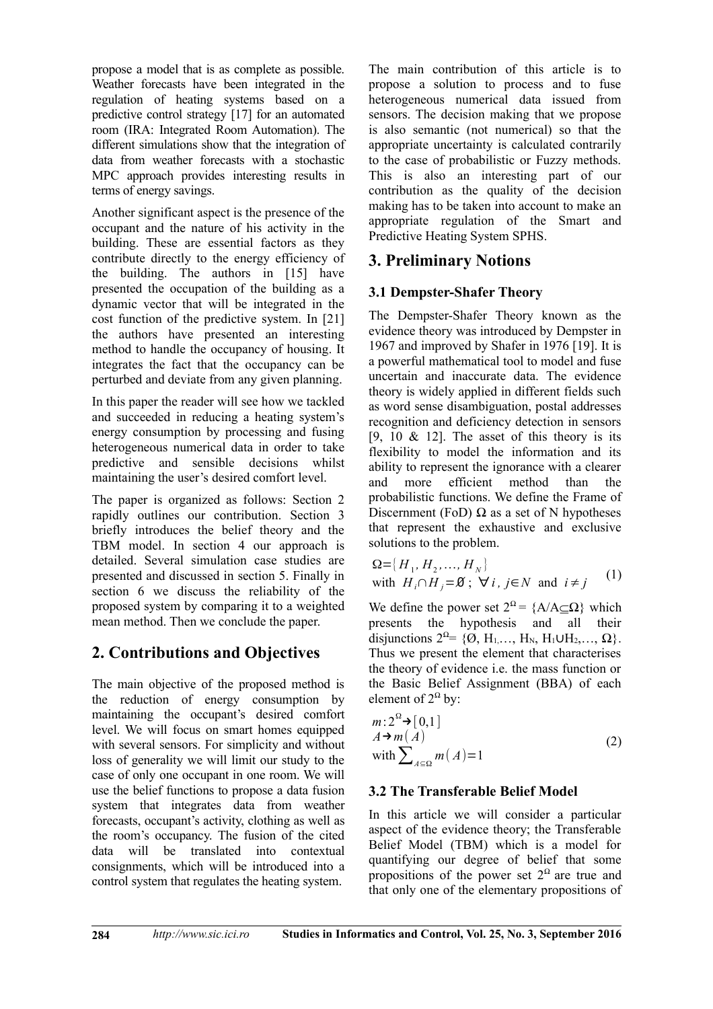propose a model that is as complete as possible. Weather forecasts have been integrated in the regulation of heating systems based on a predictive control strategy [17] for an automated room (IRA: Integrated Room Automation). The different simulations show that the integration of data from weather forecasts with a stochastic MPC approach provides interesting results in terms of energy savings.

Another significant aspect is the presence of the occupant and the nature of his activity in the building. These are essential factors as they contribute directly to the energy efficiency of the building. The authors in [15] have presented the occupation of the building as a dynamic vector that will be integrated in the cost function of the predictive system. In [21] the authors have presented an interesting method to handle the occupancy of housing. It integrates the fact that the occupancy can be perturbed and deviate from any given planning.

In this paper the reader will see how we tackled and succeeded in reducing a heating system's energy consumption by processing and fusing heterogeneous numerical data in order to take predictive and sensible decisions whilst maintaining the user's desired comfort level.

The paper is organized as follows: Section 2 rapidly outlines our contribution. Section 3 briefly introduces the belief theory and the TBM model. In section 4 our approach is detailed. Several simulation case studies are presented and discussed in section 5. Finally in section 6 we discuss the reliability of the proposed system by comparing it to a weighted mean method. Then we conclude the paper.

# **2. Contributions and Objectives**

The main objective of the proposed method is the reduction of energy consumption by maintaining the occupant's desired comfort level. We will focus on smart homes equipped with several sensors. For simplicity and without loss of generality we will limit our study to the case of only one occupant in one room. We will use the belief functions to propose a data fusion system that integrates data from weather forecasts, occupant's activity, clothing as well as the room's occupancy. The fusion of the cited data will be translated into contextual consignments, which will be introduced into a control system that regulates the heating system.

The main contribution of this article is to propose a solution to process and to fuse heterogeneous numerical data issued from sensors. The decision making that we propose is also semantic (not numerical) so that the appropriate uncertainty is calculated contrarily to the case of probabilistic or Fuzzy methods. This is also an interesting part of our contribution as the quality of the decision making has to be taken into account to make an appropriate regulation of the Smart and Predictive Heating System SPHS.

# **3. Preliminary Notions**

# **3.1 Dempster-Shafer Theory**

The Dempster-Shafer Theory known as the evidence theory was introduced by Dempster in 1967 and improved by Shafer in 1976 [19]. It is a powerful mathematical tool to model and fuse uncertain and inaccurate data. The evidence theory is widely applied in different fields such as word sense disambiguation, postal addresses recognition and deficiency detection in sensors [9, 10  $\&$  12]. The asset of this theory is its flexibility to model the information and its ability to represent the ignorance with a clearer and more efficient method than the probabilistic functions. We define the Frame of Discernment (FoD)  $\Omega$  as a set of N hypotheses that represent the exhaustive and exclusive solutions to the problem.

$$
\Omega = \{H_1, H_2, \dots, H_N\}
$$
  
with  $H_i \cap H_j = \emptyset$ ;  $\forall i, j \in N$  and  $i \neq j$  (1)

We define the power set  $2^{\Omega} = \{A/A \subseteq \Omega\}$  which presents the hypothesis and all their disjunctions  $2^{\Omega} = \{ \emptyset, H_1, \dots, H_N, H_1 \cup H_2, \dots, \Omega \}.$ Thus we present the element that characterises the theory of evidence i.e. the mass function or the Basic Belief Assignment (BBA) of each element of  $2^{\Omega}$  by:

$$
m: 2^{\Omega} \to [0,1]
$$
  
\n
$$
A \to m(A)
$$
  
\nwith 
$$
\sum_{A \subseteq \Omega} m(A) = 1
$$
 (2)

## **3.2 The Transferable Belief Model**

In this article we will consider a particular aspect of the evidence theory; the Transferable Belief Model (TBM) which is a model for quantifying our degree of belief that some propositions of the power set  $2^{\Omega}$  are true and that only one of the elementary propositions of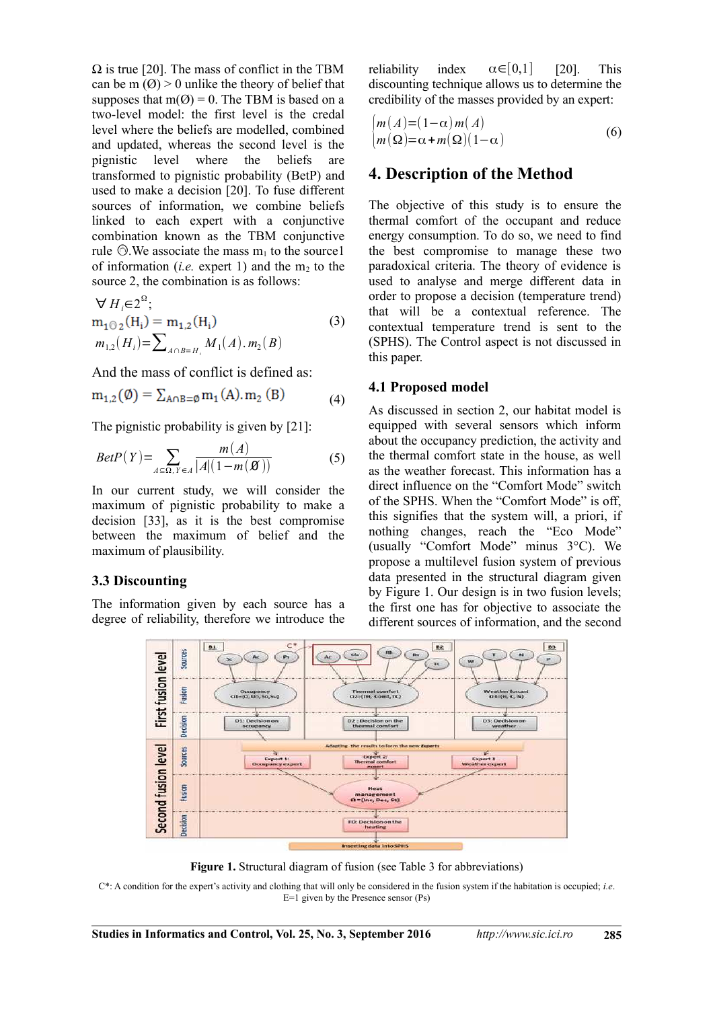$\Omega$  is true [20]. The mass of conflict in the TBM can be m  $(\emptyset) > 0$  unlike the theory of belief that supposes that  $m(Q) = 0$ . The TBM is based on a two-level model: the first level is the credal level where the beliefs are modelled, combined and updated, whereas the second level is the pignistic level where the beliefs are transformed to pignistic probability (BetP) and used to make a decision [20]. To fuse different sources of information, we combine beliefs linked to each expert with a conjunctive combination known as the TBM conjunctive rule  $\odot$ . We associate the mass m<sub>1</sub> to the source1 of information  $(i.e.$  expert 1) and the m<sub>2</sub> to the source 2, the combination is as follows:

$$
\forall H_i \in 2^{\Omega};m_{1\text{O}_2}(H_i) = m_{1,2}(H_i) m_{1,2}(H_i) = \sum_{A \cap B = H_i} M_1(A) . m_2(B)
$$
\n(3)

And the mass of conflict is defined as:

$$
m_{1,2}(\emptyset) = \sum_{A \cap B = \emptyset} m_1(A). m_2(B) \tag{4}
$$

The pignistic probability is given by [21]:

$$
BetaP(Y) = \sum_{A \subseteq \Omega, Y \in A} \frac{m(A)}{|A|(1 - m(\mathcal{B}))}
$$
(5)

In our current study, we will consider the maximum of pignistic probability to make a decision [33], as it is the best compromise between the maximum of belief and the maximum of plausibility.

#### **3.3 Discounting**

The information given by each source has a degree of reliability, therefore we introduce the

reliability index  $\alpha \in [0,1]$  [20]. This discounting technique allows us to determine the credibility of the masses provided by an expert:

$$
\begin{cases} m(A) = (1 - \alpha) m(A) \\ m(\Omega) = \alpha + m(\Omega)(1 - \alpha) \end{cases} \tag{6}
$$

### **4. Description of the Method**

The objective of this study is to ensure the thermal comfort of the occupant and reduce energy consumption. To do so, we need to find the best compromise to manage these two paradoxical criteria. The theory of evidence is used to analyse and merge different data in order to propose a decision (temperature trend) that will be a contextual reference. The contextual temperature trend is sent to the (SPHS). The Control aspect is not discussed in this paper.

#### **4.1 Proposed model**

As discussed in section 2, our habitat model is equipped with several sensors which inform about the occupancy prediction, the activity and the thermal comfort state in the house, as well as the weather forecast. This information has a direct influence on the "Comfort Mode" switch of the SPHS. When the "Comfort Mode" is off, this signifies that the system will, a priori, if nothing changes, reach the "Eco Mode" (usually "Comfort Mode" minus 3°C). We propose a multilevel fusion system of previous data presented in the structural diagram given by Figure 1. Our design is in two fusion levels; the first one has for objective to associate the different sources of information, and the second



**Figure 1.** Structural diagram of fusion (see Table 3 for abbreviations)

C\*: A condition for the expert's activity and clothing that will only be considered in the fusion system if the habitation is occupied; *i.e*. E=1 given by the Presence sensor (Ps)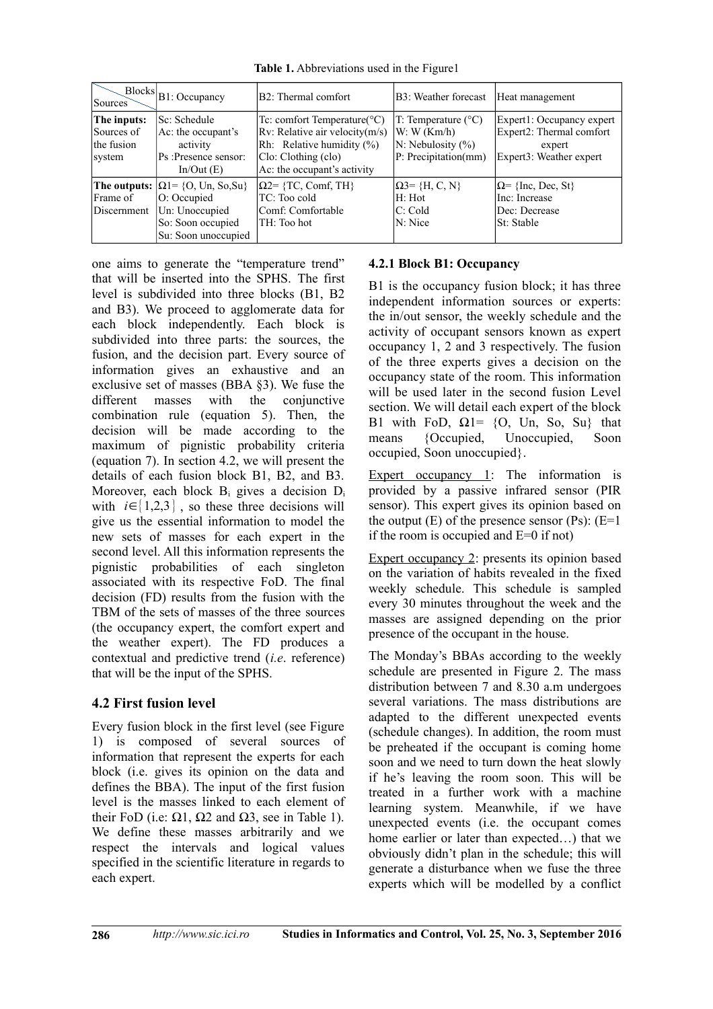**Table 1.** Abbreviations used in the Figure1

| Sources                                           | $\mathbb{R}^{\text{blocks}} _{\text{B1}: \text{Occupancy}}$                                                                 | B2: Thermal comfort                                                                                                                                                       | B3: Weather forecast                                                                               | Heat management                                                                            |
|---------------------------------------------------|-----------------------------------------------------------------------------------------------------------------------------|---------------------------------------------------------------------------------------------------------------------------------------------------------------------------|----------------------------------------------------------------------------------------------------|--------------------------------------------------------------------------------------------|
| The inputs:<br>Sources of<br>the fusion<br>system | Sc: Schedule <br>$Ac$ : the occupant's<br>activity<br>Ps:Presence sensor:<br>In/Out(E)                                      | Tc: comfort Temperature( ${}^{\circ}C$ )<br>$Rv$ : Relative air velocity $(m/s)$<br>$Rh$ : Relative humidity $(\%)$<br>Clo: Clothing (clo)<br>Ac: the occupant's activity | $T$ : Temperature ( $^{\circ}$ C)<br>W: W(Km/h)<br>$N:$ Nebulosity $(\% )$<br>P: Precipitation(mm) | Expert1: Occupancy expert<br>Expert2: Thermal comfort<br>expert<br>Expert3: Weather expert |
| Frame of<br>Discernment                           | The outputs: $ \Omega  = \{O, Un, So, Su\}$<br>$ O:$ Occupied<br>Un: Unoccupied<br>So: Soon occupied<br>Su: Soon unoccupied | $\Omega$ <sup>2=</sup> {TC, Comf, TH}<br>TC: Too cold<br>Comf: Comfortable<br>TH: Too hot                                                                                 | $\Omega$ 3= {H, C, N}<br>H: Hot<br>C: Cold<br>N: Nice                                              | $\Omega$ = {Inc, Dec, St}<br>Inc: Increase<br>Dec: Decrease<br> St: Stable                 |

one aims to generate the "temperature trend" that will be inserted into the SPHS. The first level is subdivided into three blocks (B1, B2 and B3). We proceed to agglomerate data for each block independently. Each block is subdivided into three parts: the sources, the fusion, and the decision part. Every source of information gives an exhaustive and an exclusive set of masses (BBA §3). We fuse the different masses with the conjunctive combination rule (equation 5). Then, the decision will be made according to the maximum of pignistic probability criteria (equation 7). In section 4.2, we will present the details of each fusion block B1, B2, and B3. Moreover, each block Bi gives a decision D<sup>i</sup> with  $i \in \{1,2,3\}$ , so these three decisions will give us the essential information to model the new sets of masses for each expert in the second level. All this information represents the pignistic probabilities of each singleton associated with its respective FoD. The final decision (FD) results from the fusion with the TBM of the sets of masses of the three sources (the occupancy expert, the comfort expert and the weather expert). The FD produces a contextual and predictive trend (*i.e*. reference) that will be the input of the SPHS.

## **4.2 First fusion level**

Every fusion block in the first level (see Figure 1) is composed of several sources of information that represent the experts for each block (i.e. gives its opinion on the data and defines the BBA). The input of the first fusion level is the masses linked to each element of their FoD (i.e:  $\Omega$ 1,  $\Omega$ 2 and  $\Omega$ 3, see in Table 1). We define these masses arbitrarily and we respect the intervals and logical values specified in the scientific literature in regards to each expert.

#### **4.2.1 Block B1: Occupancy**

B1 is the occupancy fusion block; it has three independent information sources or experts: the in/out sensor, the weekly schedule and the activity of occupant sensors known as expert occupancy 1, 2 and 3 respectively. The fusion of the three experts gives a decision on the occupancy state of the room. This information will be used later in the second fusion Level section. We will detail each expert of the block B1 with FoD,  $Ω1 = {O, Un, So, Su}$  that means {Occupied, Unoccupied, Soon occupied, Soon unoccupied}.

Expert occupancy 1: The information is provided by a passive infrared sensor (PIR sensor). This expert gives its opinion based on the output  $(E)$  of the presence sensor  $(Ps)$ :  $(E=1)$ if the room is occupied and E=0 if not)

Expert occupancy 2: presents its opinion based on the variation of habits revealed in the fixed weekly schedule. This schedule is sampled every 30 minutes throughout the week and the masses are assigned depending on the prior presence of the occupant in the house.

The Monday's BBAs according to the weekly schedule are presented in Figure 2. The mass distribution between 7 and 8.30 a.m undergoes several variations. The mass distributions are adapted to the different unexpected events (schedule changes). In addition, the room must be preheated if the occupant is coming home soon and we need to turn down the heat slowly if he's leaving the room soon. This will be treated in a further work with a machine learning system. Meanwhile, if we have unexpected events (i.e. the occupant comes home earlier or later than expected…) that we obviously didn't plan in the schedule; this will generate a disturbance when we fuse the three experts which will be modelled by a conflict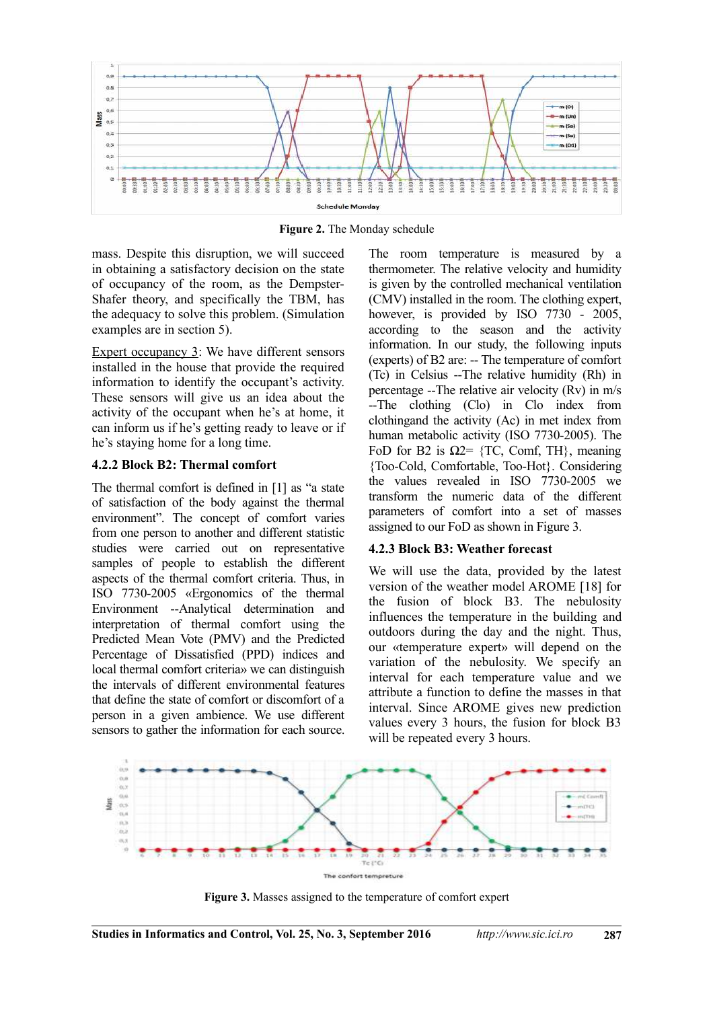

**Figure 2.** The Monday schedule

mass. Despite this disruption, we will succeed in obtaining a satisfactory decision on the state of occupancy of the room, as the Dempster-Shafer theory, and specifically the TBM, has the adequacy to solve this problem. (Simulation examples are in section 5).

Expert occupancy 3: We have different sensors installed in the house that provide the required information to identify the occupant's activity. These sensors will give us an idea about the activity of the occupant when he's at home, it can inform us if he's getting ready to leave or if he's staying home for a long time.

#### **4.2.2 Block B2: Thermal comfort**

The thermal comfort is defined in [1] as "a state of satisfaction of the body against the thermal environment". The concept of comfort varies from one person to another and different statistic studies were carried out on representative samples of people to establish the different aspects of the thermal comfort criteria. Thus, in ISO 7730-2005 «Ergonomics of the thermal Environment --Analytical determination and interpretation of thermal comfort using the Predicted Mean Vote (PMV) and the Predicted Percentage of Dissatisfied (PPD) indices and local thermal comfort criteria» we can distinguish the intervals of different environmental features that define the state of comfort or discomfort of a person in a given ambience. We use different sensors to gather the information for each source.

The room temperature is measured by a thermometer. The relative velocity and humidity is given by the controlled mechanical ventilation (CMV) installed in the room. The clothing expert, however, is provided by ISO 7730 - 2005, according to the season and the activity information. In our study, the following inputs (experts) of B2 are: -- The temperature of comfort (Tc) in Celsius --The relative humidity (Rh) in percentage --The relative air velocity (Rv) in m/s --The clothing (Clo) in Clo index from clothingand the activity (Ac) in met index from human metabolic activity (ISO 7730-2005). The FoD for B2 is  $\Omega$ 2= {TC, Comf, TH}, meaning {Too-Cold, Comfortable, Too-Hot}. Considering the values revealed in ISO 7730-2005 we transform the numeric data of the different parameters of comfort into a set of masses assigned to our FoD as shown in Figure 3.

#### **4.2.3 Block B3: Weather forecast**

We will use the data, provided by the latest version of the weather model AROME [18] for the fusion of block B3. The nebulosity influences the temperature in the building and outdoors during the day and the night. Thus, our «temperature expert» will depend on the variation of the nebulosity. We specify an interval for each temperature value and we attribute a function to define the masses in that interval. Since AROME gives new prediction values every 3 hours, the fusion for block B3 will be repeated every 3 hours.



**Figure 3.** Masses assigned to the temperature of comfort expert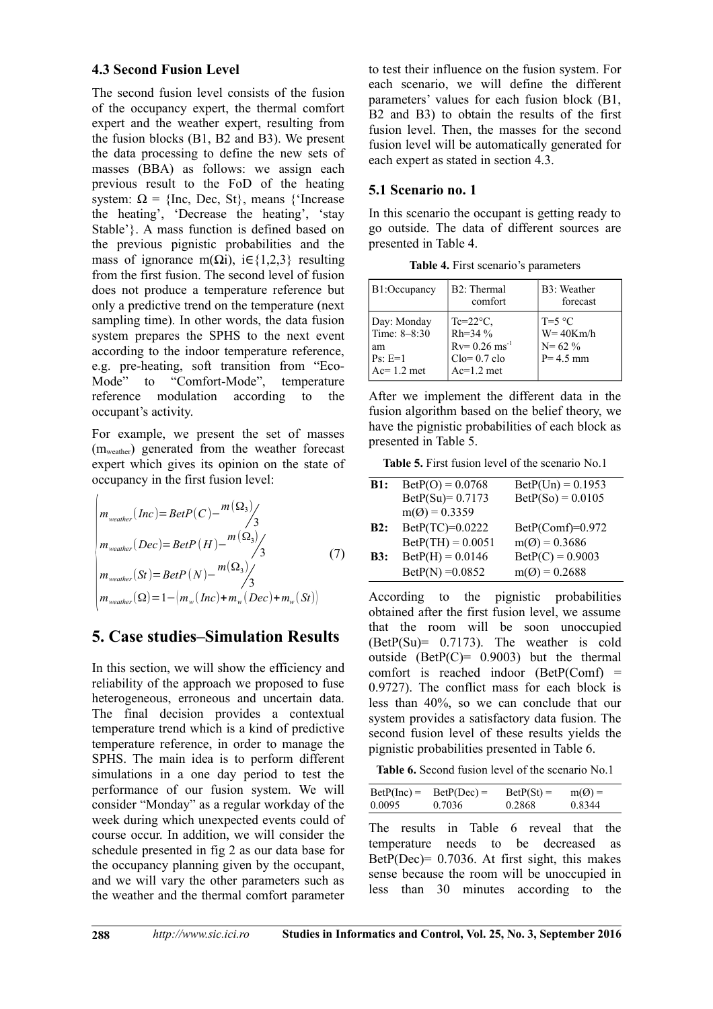### **4.3 Second Fusion Level**

The second fusion level consists of the fusion of the occupancy expert, the thermal comfort expert and the weather expert, resulting from the fusion blocks (B1, B2 and B3). We present the data processing to define the new sets of masses (BBA) as follows: we assign each previous result to the FoD of the heating system:  $\Omega = \{$ Inc, Dec, St\}, means  $\{$ 'Increase the heating', 'Decrease the heating', 'stay Stable'}. A mass function is defined based on the previous pignistic probabilities and the mass of ignorance m( $\Omega$ i), i∈{1,2,3} resulting from the first fusion. The second level of fusion does not produce a temperature reference but only a predictive trend on the temperature (next sampling time). In other words, the data fusion system prepares the SPHS to the next event according to the indoor temperature reference, e.g. pre-heating, soft transition from "Eco-Mode" to "Comfort-Mode", temperature reference modulation according to the occupant's activity.

For example, we present the set of masses (mweather) generated from the weather forecast expert which gives its opinion on the state of occupancy in the first fusion level:

$$
\begin{vmatrix}\nm_{\text{wearher}}(Inc) = BetP(C) - \frac{m(\Omega_3)}{3} \\
m_{\text{wearher}}(Dec) = BetP(H) - \frac{m(\Omega_3)}{3} \\
m_{\text{wearher}}(St) = BetP(N) - \frac{m(\Omega_3)}{3} \\
m_{\text{wearher}}(\Omega) = 1 - \left(m_w(Inc) + m_w(Dec) + m_w(St)\right)\n\end{vmatrix}
$$
\n(7)

# **5. Case studies–Simulation Results**

In this section, we will show the efficiency and reliability of the approach we proposed to fuse heterogeneous, erroneous and uncertain data. The final decision provides a contextual temperature trend which is a kind of predictive temperature reference, in order to manage the SPHS. The main idea is to perform different simulations in a one day period to test the performance of our fusion system. We will consider "Monday" as a regular workday of the week during which unexpected events could of course occur. In addition, we will consider the schedule presented in fig 2 as our data base for the occupancy planning given by the occupant, and we will vary the other parameters such as the weather and the thermal comfort parameter

to test their influence on the fusion system. For each scenario, we will define the different parameters' values for each fusion block (B1, B2 and B3) to obtain the results of the first fusion level. Then, the masses for the second fusion level will be automatically generated for each expert as stated in section 4.3.

#### **5.1 Scenario no. 1**

In this scenario the occupant is getting ready to go outside. The data of different sources are presented in Table 4.

**Table 4.** First scenario's parameters

| B1:Occupancy                                                   | B2: Thermal<br>comfort                                                                                | B3: Weather<br>forecast                                 |
|----------------------------------------------------------------|-------------------------------------------------------------------------------------------------------|---------------------------------------------------------|
| Day: Monday<br>Time: 8-8:30<br>am<br>$Ps: E=1$<br>$Ac=1.2$ met | $Te=22^{\circ}C$ ,<br>$Rh = 34 \%$<br>$Rv = 0.26$ ms <sup>-1</sup><br>$C_0 = 0.7$ clo<br>$Ac=1.2$ met | $T=5$ °C<br>$W = 40Km/h$<br>$N = 62 \%$<br>$P = 4.5$ mm |

After we implement the different data in the fusion algorithm based on the belief theory, we have the pignistic probabilities of each block as presented in Table 5.

**Table 5.** First fusion level of the scenario No.1

| B1: | $\text{DetP(O)} = 0.0768$ | $BetP(Un) = 0.1953$ |
|-----|---------------------------|---------------------|
|     | $BetP(Su)= 0.7173$        | $BetP(So) = 0.0105$ |
|     | $m(Q) = 0.3359$           |                     |
| B2: | BetP(TC)=0.0222           | $BetP(Comf)=0.972$  |
|     | $BetP(TH) = 0.0051$       | $m(Q) = 0.3686$     |
| B3: | $BetP(H) = 0.0146$        | $BetP(C) = 0.9003$  |
|     | $BetP(N) = 0.0852$        | $m(Q) = 0.2688$     |

According to the pignistic probabilities obtained after the first fusion level, we assume that the room will be soon unoccupied (BetP(Su)= 0.7173). The weather is cold outside (Bet $P(C) = 0.9003$ ) but the thermal comfort is reached indoor  $(BetP(Comf)$  = 0.9727). The conflict mass for each block is less than 40%, so we can conclude that our system provides a satisfactory data fusion. The second fusion level of these results yields the pignistic probabilities presented in Table 6.

**Table 6.** Second fusion level of the scenario No.1

| $BetP(Inc) =$ | $BetP(Dec) =$ | $\text{BetP}(St) =$ | $m(Q) =$ |
|---------------|---------------|---------------------|----------|
| 0.0095        | 0.7036        | 0.2868              | 0.8344   |

The results in Table 6 reveal that the temperature needs to be decreased as Bet $P(Dec) = 0.7036$ . At first sight, this makes sense because the room will be unoccupied in less than 30 minutes according to the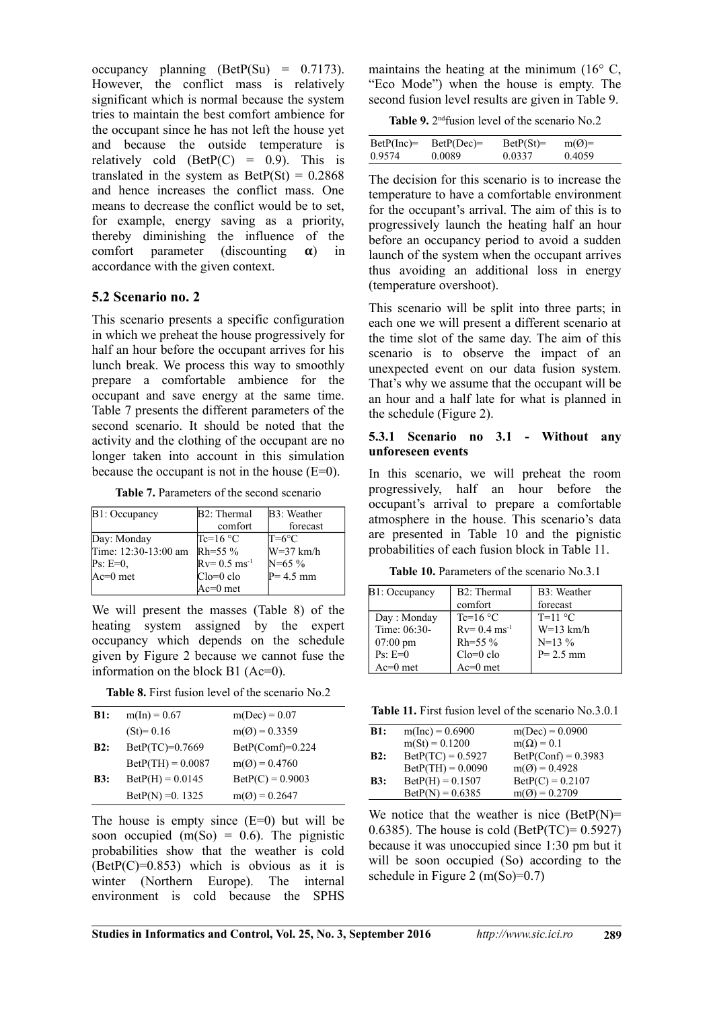occupancy planning  $(BetP(Su) = 0.7173)$ . However, the conflict mass is relatively significant which is normal because the system tries to maintain the best comfort ambience for the occupant since he has not left the house yet and because the outside temperature is relatively cold  $(BetP(C) = 0.9)$ . This is translated in the system as  $BetP(St) = 0.2868$ and hence increases the conflict mass. One means to decrease the conflict would be to set, for example, energy saving as a priority, thereby diminishing the influence of the comfort parameter (discounting  $\alpha$ ) in accordance with the given context.

#### **5.2 Scenario no. 2**

This scenario presents a specific configuration in which we preheat the house progressively for half an hour before the occupant arrives for his lunch break. We process this way to smoothly prepare a comfortable ambience for the occupant and save energy at the same time. Table 7 presents the different parameters of the second scenario. It should be noted that the activity and the clothing of the occupant are no longer taken into account in this simulation because the occupant is not in the house  $(E=0)$ .

|  |  |  | <b>Table 7.</b> Parameters of the second scenario |  |
|--|--|--|---------------------------------------------------|--|
|--|--|--|---------------------------------------------------|--|

| B1: Occupancy        | B <sub>2</sub> : Thermal    | B3: Weather    |
|----------------------|-----------------------------|----------------|
|                      | comfort                     | forecast       |
| Day: Monday          | $Tc=16$ °C                  | $T=6^{\circ}C$ |
| Time: 12:30-13:00 am | $Rh = 55 \%$                | $W=37$ km/h    |
| $Ps: E=0.$           | $Rv = 0.5$ ms <sup>-1</sup> | $N = 65 \%$    |
| $Ac=0$ met           | $Clo = 0$ clo               | $P = 4.5$ mm   |
|                      | $Ac=0$ met                  |                |

We will present the masses (Table 8) of the heating system assigned by the expert occupancy which depends on the schedule given by Figure 2 because we cannot fuse the information on the block B1 (Ac=0).

**Table 8.** First fusion level of the scenario No.2

| B1: | $m(In) = 0.67$      | $m(Dec) = 0.07$    |
|-----|---------------------|--------------------|
|     | $(St)=0.16$         | $m(Q) = 0.3359$    |
| B2: | $BetP(TC)=0.7669$   | $BetP(Comf)=0.224$ |
|     | $BetP(TH) = 0.0087$ | $m(Q) = 0.4760$    |
| B3: | $BetP(H) = 0.0145$  | $BetP(C) = 0.9003$ |
|     | $BetP(N) = 0.1325$  | $m(Q) = 0.2647$    |
|     |                     |                    |

The house is empty since  $(E=0)$  but will be soon occupied  $(m(So) = 0.6)$ . The pignistic probabilities show that the weather is cold  $(BetP(C)=0.853)$  which is obvious as it is winter (Northern Europe). The internal environment is cold because the SPHS

maintains the heating at the minimum (16° C, "Eco Mode") when the house is empty. The second fusion level results are given in Table 9.

**Table 9.** 2<sup>nd</sup> fusion level of the scenario No.2

| $BetP(Inc)=$<br>0.9574 | $BetP(Dec)=$<br>0.0089 | $\text{BetP}(St)=$<br>0.0337 | $m(Q)$ =<br>0.4059 |  |
|------------------------|------------------------|------------------------------|--------------------|--|
|                        |                        |                              |                    |  |

The decision for this scenario is to increase the temperature to have a comfortable environment for the occupant's arrival. The aim of this is to progressively launch the heating half an hour before an occupancy period to avoid a sudden launch of the system when the occupant arrives thus avoiding an additional loss in energy (temperature overshoot).

This scenario will be split into three parts; in each one we will present a different scenario at the time slot of the same day. The aim of this scenario is to observe the impact of an unexpected event on our data fusion system. That's why we assume that the occupant will be an hour and a half late for what is planned in the schedule (Figure 2).

#### **5.3.1 Scenario no 3.1 - Without any unforeseen events**

In this scenario, we will preheat the room progressively, half an hour before the occupant's arrival to prepare a comfortable atmosphere in the house. This scenario's data are presented in Table 10 and the pignistic probabilities of each fusion block in Table 11.

**Table 10.** Parameters of the scenario No.3.1

| B1: Occupancy      | $B2:$ Thermal               | B3: Weather  |
|--------------------|-----------------------------|--------------|
|                    | comfort                     | forecast     |
| Day: Monday        | Tc=16 $\degree$ C           | $T=11 °C$    |
| Time: 06:30-       | $Rv = 0.4$ ms <sup>-1</sup> | $W=13$ km/h  |
| $07:00 \text{ pm}$ | $Rh = 55 \%$                | $N=13\%$     |
| $Ps: E=0$          | $Clo = 0$ clo               | $P = 2.5$ mm |
| $Ac=0$ met         | $Ac=0$ met                  |              |

**Table 11.** First fusion level of the scenario No.3.0.1

| <b>B1:</b> | $m(Inc) = 0.6900$         | $m(Dec) = 0.0900$                   |
|------------|---------------------------|-------------------------------------|
|            | $m(St) = 0.1200$          | $m(\Omega) = 0.1$                   |
| B2:        | $BetP(TC) = 0.5927$       | $\text{DetP}(\text{Conf}) = 0.3983$ |
|            | $BetP(TH) = 0.0090$       | $m(Q) = 0.4928$                     |
| B3:        | $BetP(H) = 0.1507$        | $BetP(C) = 0.2107$                  |
|            | $\text{BetP}(N) = 0.6385$ | $m(Q) = 0.2709$                     |

We notice that the weather is nice  $(BetP(N))=$ 0.6385). The house is cold (BetP(TC)=  $0.5927$ ) because it was unoccupied since 1:30 pm but it will be soon occupied (So) according to the schedule in Figure 2 (m(So)= $0.7$ )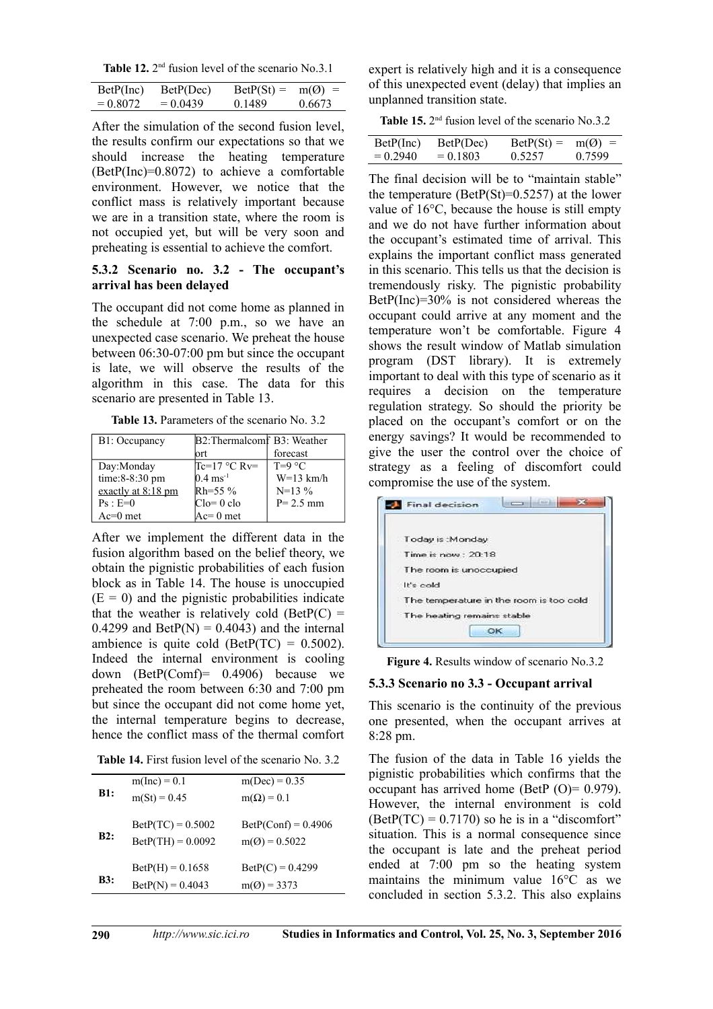Table 12. 2<sup>nd</sup> fusion level of the scenario No.3.1

| BetP(Inc)  | BetP(Dec)  | $\text{Beta}(St) =$ | $m(Q)$ = |
|------------|------------|---------------------|----------|
| $= 0.8072$ | $= 0.0439$ | 0.1489              | 0.6673   |

After the simulation of the second fusion level, the results confirm our expectations so that we should increase the heating temperature (BetP(Inc)=0.8072) to achieve a comfortable environment. However, we notice that the conflict mass is relatively important because we are in a transition state, where the room is not occupied yet, but will be very soon and preheating is essential to achieve the comfort.

#### **5.3.2 Scenario no. 3.2 - The occupant's arrival has been delayed**

The occupant did not come home as planned in the schedule at 7:00 p.m., so we have an unexpected case scenario. We preheat the house between 06:30-07:00 pm but since the occupant is late, we will observe the results of the algorithm in this case. The data for this scenario are presented in Table 13.

**Table 13.** Parameters of the scenario No. 3.2

| B1: Occupancy      | B2: Thermalcomf B3: Weather |              |
|--------------------|-----------------------------|--------------|
|                    | ort                         | forecast     |
| Day:Monday         | $Tc=17$ °C Rv=              | $T=9$ °C     |
| time: 8-8:30 pm    | $0.4 \text{ ms}^{-1}$       | $W=13$ km/h  |
| exactly at 8:18 pm | $Rh = 55 \%$                | $N=13\%$     |
| $Ps : E=0$         | $C1o=0$ clo                 | $P = 2.5$ mm |
| $Ac=0$ met         | $Ac=0$ met                  |              |

After we implement the different data in the fusion algorithm based on the belief theory, we obtain the pignistic probabilities of each fusion block as in Table 14. The house is unoccupied  $(E = 0)$  and the pignistic probabilities indicate that the weather is relatively cold (BetP $(C)$  =  $0.4299$  and BetP(N) =  $0.4043$ ) and the internal ambience is quite cold (BetP(TC) =  $0.5002$ ). Indeed the internal environment is cooling down (BetP(Comf)= 0.4906) because we preheated the room between 6:30 and 7:00 pm but since the occupant did not come home yet, the internal temperature begins to decrease, hence the conflict mass of the thermal comfort

| <b>Table 14.</b> First fusion level of the scenario No. 3.2 |  |  |  |  |  |  |  |  |
|-------------------------------------------------------------|--|--|--|--|--|--|--|--|
|-------------------------------------------------------------|--|--|--|--|--|--|--|--|

| <b>B1:</b> | $m(Inc) = 0.1$<br>$m(St) = 0.45$                | $m(Dec) = 0.35$<br>$m(\Omega) = 0.1$                   |
|------------|-------------------------------------------------|--------------------------------------------------------|
| B2:        | $BetP(TC) = 0.5002$<br>$BetP(TH) = 0.0092$      | $\text{BetP}(\text{Conf}) = 0.4906$<br>$m(Q) = 0.5022$ |
| <b>B3:</b> | $BetP(H) = 0.1658$<br>$\text{DetP}(N) = 0.4043$ | $BetP(C) = 0.4299$<br>$m(Q) = 3373$                    |

expert is relatively high and it is a consequence of this unexpected event (delay) that implies an unplanned transition state.

**Table 15.** 2<sup>nd</sup> fusion level of the scenario No.3.2

| BetP(Inc)  | BetP(Dec)  | $\text{Det}P(\text{St}) =$ | $m(Q)$ = |
|------------|------------|----------------------------|----------|
| $= 0.2940$ | $= 0.1803$ | 0.5257                     | 0.7599   |
|            |            |                            |          |

The final decision will be to "maintain stable" the temperature (BetP(St)= $0.5257$ ) at the lower value of 16°C, because the house is still empty and we do not have further information about the occupant's estimated time of arrival. This explains the important conflict mass generated in this scenario. This tells us that the decision is tremendously risky. The pignistic probability BetP(Inc)=30% is not considered whereas the occupant could arrive at any moment and the temperature won't be comfortable. Figure 4 shows the result window of Matlab simulation program (DST library). It is extremely important to deal with this type of scenario as it requires a decision on the temperature regulation strategy. So should the priority be placed on the occupant's comfort or on the energy savings? It would be recommended to give the user the control over the choice of strategy as a feeling of discomfort could compromise the use of the system.

| <b>Final decision</b>                   |
|-----------------------------------------|
| Today is : Monday                       |
| Time is now: 20:18                      |
| The room is unoccupied                  |
| It's cold                               |
| The temperature in the room is too cold |
| The heating remains stable<br>OK        |
|                                         |

**Figure 4.** Results window of scenario No.3.2

#### **5.3.3 Scenario no 3.3 - Occupant arrival**

This scenario is the continuity of the previous one presented, when the occupant arrives at 8:28 pm.

The fusion of the data in Table 16 yields the pignistic probabilities which confirms that the occupant has arrived home (BetP  $(O) = 0.979$ ). However, the internal environment is cold  $(BetP(TC) = 0.7170)$  so he is in a "discomfort" situation. This is a normal consequence since the occupant is late and the preheat period ended at 7:00 pm so the heating system maintains the minimum value 16°C as we concluded in section 5.3.2. This also explains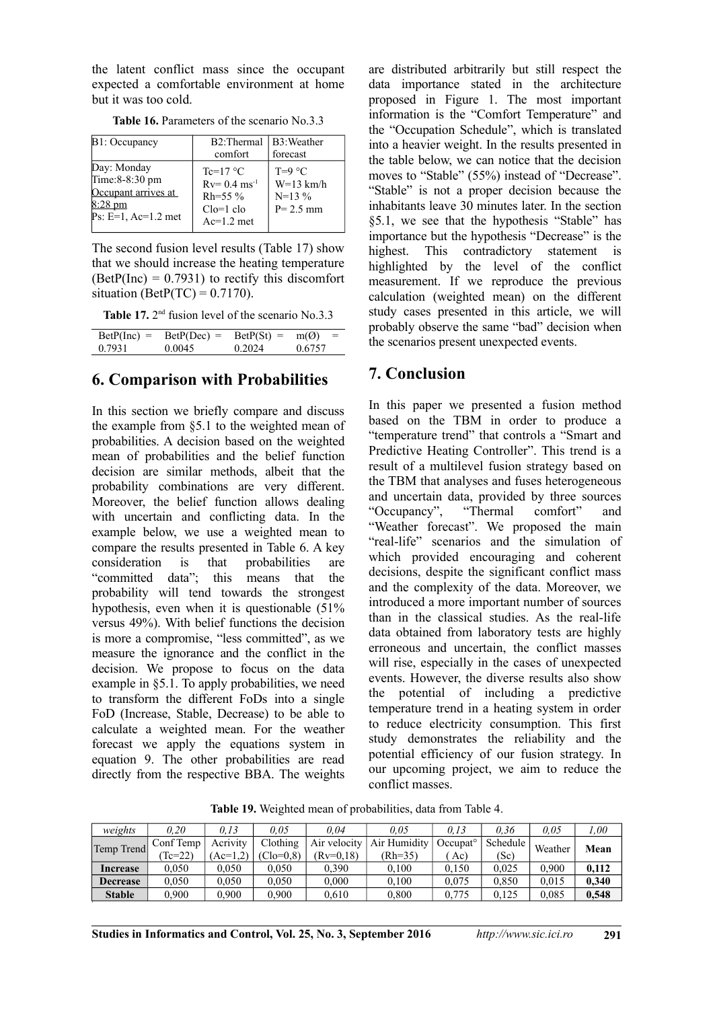the latent conflict mass since the occupant expected a comfortable environment at home but it was too cold.

| B1: Occupancy                                                                                       | B2:Thermal B3:Weather                                                                    |                                                     |
|-----------------------------------------------------------------------------------------------------|------------------------------------------------------------------------------------------|-----------------------------------------------------|
|                                                                                                     | comfort                                                                                  | forecast                                            |
| Day: Monday<br>Time: 8-8:30 pm<br>Occupant arrives at<br>$8:28 \text{ pm}$<br>$Ps: E=1, Ac=1.2$ met | $Te=17 °C$<br>$Rv = 0.4$ ms <sup>-1</sup><br>$Rh = 55 \%$<br>$C1o=1$ clo<br>$Ac=1.2$ met | $T=9$ °C<br>$W=13$ km/h<br>$N=13\%$<br>$P = 2.5$ mm |

**Table 16.** Parameters of the scenario No.3.3

The second fusion level results (Table 17) show that we should increase the heating temperature  $(BetP(Inc) = 0.7931)$  to rectify this discomfort situation (BetP(TC) =  $0.7170$ ).

| Table 17. $2nd$ fusion level of the scenario No.3.3 |  |  |  |  |  |
|-----------------------------------------------------|--|--|--|--|--|
|-----------------------------------------------------|--|--|--|--|--|

| $\text{DetP}(\text{Inc}) =$ | $\text{DetP}(\text{Dec})$ = | $\text{Det}P(\text{St}) =$ | m(Q)<br>$\equiv$ |
|-----------------------------|-----------------------------|----------------------------|------------------|
| 0.7931                      | 0.0045                      | 0.2024                     | 0.6757           |

#### **6. Comparison with Probabilities**

In this section we briefly compare and discuss the example from §5.1 to the weighted mean of probabilities. A decision based on the weighted mean of probabilities and the belief function decision are similar methods, albeit that the probability combinations are very different. Moreover, the belief function allows dealing with uncertain and conflicting data. In the example below, we use a weighted mean to compare the results presented in Table 6. A key consideration is that probabilities are "committed data"; this means that the probability will tend towards the strongest hypothesis, even when it is questionable (51% versus 49%). With belief functions the decision is more a compromise, "less committed", as we measure the ignorance and the conflict in the decision. We propose to focus on the data example in §5.1. To apply probabilities, we need to transform the different FoDs into a single FoD (Increase, Stable, Decrease) to be able to calculate a weighted mean. For the weather forecast we apply the equations system in equation 9. The other probabilities are read directly from the respective BBA. The weights

are distributed arbitrarily but still respect the data importance stated in the architecture proposed in Figure 1. The most important information is the "Comfort Temperature" and the "Occupation Schedule", which is translated into a heavier weight. In the results presented in the table below, we can notice that the decision moves to "Stable" (55%) instead of "Decrease". "Stable" is not a proper decision because the inhabitants leave 30 minutes later. In the section §5.1, we see that the hypothesis "Stable" has importance but the hypothesis "Decrease" is the highest. This contradictory statement is highlighted by the level of the conflict measurement. If we reproduce the previous calculation (weighted mean) on the different study cases presented in this article, we will probably observe the same "bad" decision when the scenarios present unexpected events.

### **7. Conclusion**

In this paper we presented a fusion method based on the TBM in order to produce a "temperature trend" that controls a "Smart and Predictive Heating Controller". This trend is a result of a multilevel fusion strategy based on the TBM that analyses and fuses heterogeneous and uncertain data, provided by three sources<br>"Occupancy", "Thermal comfort" and "Occupancy", "Thermal comfort" and "Weather forecast". We proposed the main "real-life" scenarios and the simulation of which provided encouraging and coherent decisions, despite the significant conflict mass and the complexity of the data. Moreover, we introduced a more important number of sources than in the classical studies. As the real-life data obtained from laboratory tests are highly erroneous and uncertain, the conflict masses will rise, especially in the cases of unexpected events. However, the diverse results also show the potential of including a predictive temperature trend in a heating system in order to reduce electricity consumption. This first study demonstrates the reliability and the potential efficiency of our fusion strategy. In our upcoming project, we aim to reduce the conflict masses.

**Table 19.** Weighted mean of probabilities, data from Table 4.

| weights         | 0.20      | 0.13       | 0.05        | 0.04         | 0.05         | 0.13              | 0.36     | 0.05    | .00   |
|-----------------|-----------|------------|-------------|--------------|--------------|-------------------|----------|---------|-------|
| Temp Trend      | Conf Temp | Acrivity   | Clothing    | Air velocity | Air Humidity | $Occupat^{\circ}$ | Schedule | Weather | Mean  |
|                 | $Te=22$   | $(Ac=1,2)$ | $(Clo=0.8)$ | $(Rv=0.18)$  | $(Rh=35)$    | Ac)               | (Sc)     |         |       |
| Increase        | 0.050     | 0.050      | 0.050       | 0.390        | 0.100        | 0.150             | 0.025    | 0.900   | 0.112 |
| <b>Decrease</b> | 0.050     | 0.050      | 0.050       | 0.000        | 0.100        | 0.075             | 0.850    | 0.015   | 0.340 |
| <b>Stable</b>   | 0.900     | 0.900      | 0.900       | 0.610        | 0.800        | 0,775             | 0.125    | 0.085   | 0,548 |